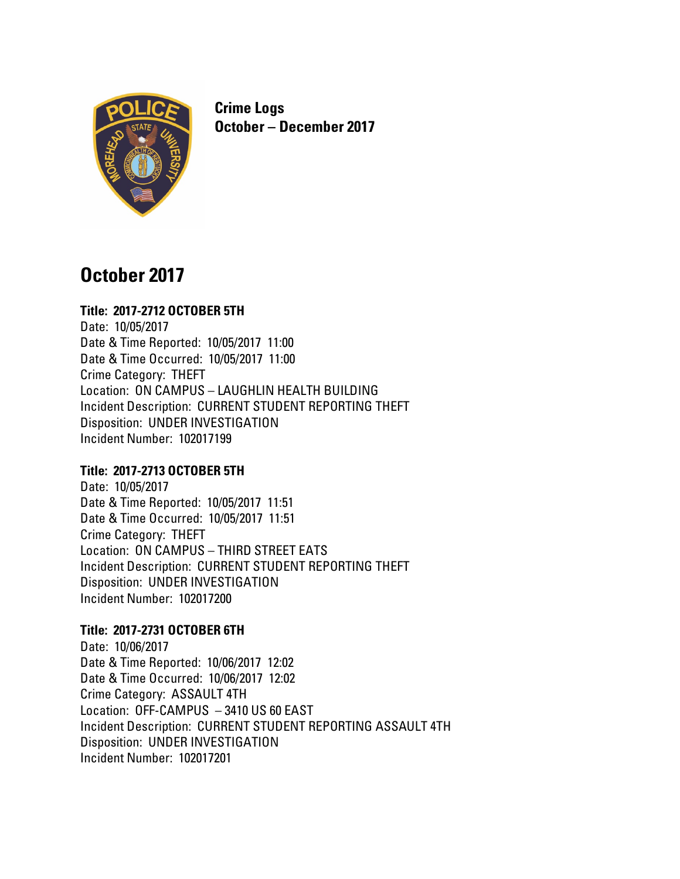

**Crime Logs October – December 2017**

# **October 2017**

# **Title: 2017-2712 OCTOBER 5TH**

Date: 10/05/2017 Date & Time Reported: 10/05/2017 11:00 Date & Time Occurred: 10/05/2017 11:00 Crime Category: THEFT Location: ON CAMPUS – LAUGHLIN HEALTH BUILDING Incident Description: CURRENT STUDENT REPORTING THEFT Disposition: UNDER INVESTIGATION Incident Number: 102017199

# **Title: 2017-2713 OCTOBER 5TH**

Date: 10/05/2017 Date & Time Reported: 10/05/2017 11:51 Date & Time Occurred: 10/05/2017 11:51 Crime Category: THEFT Location: ON CAMPUS – THIRD STREET EATS Incident Description: CURRENT STUDENT REPORTING THEFT Disposition: UNDER INVESTIGATION Incident Number: 102017200

# **Title: 2017-2731 OCTOBER 6TH**

Date: 10/06/2017 Date & Time Reported: 10/06/2017 12:02 Date & Time Occurred: 10/06/2017 12:02 Crime Category: ASSAULT 4TH Location: OFF-CAMPUS – 3410 US 60 EAST Incident Description: CURRENT STUDENT REPORTING ASSAULT 4TH Disposition: UNDER INVESTIGATION Incident Number: 102017201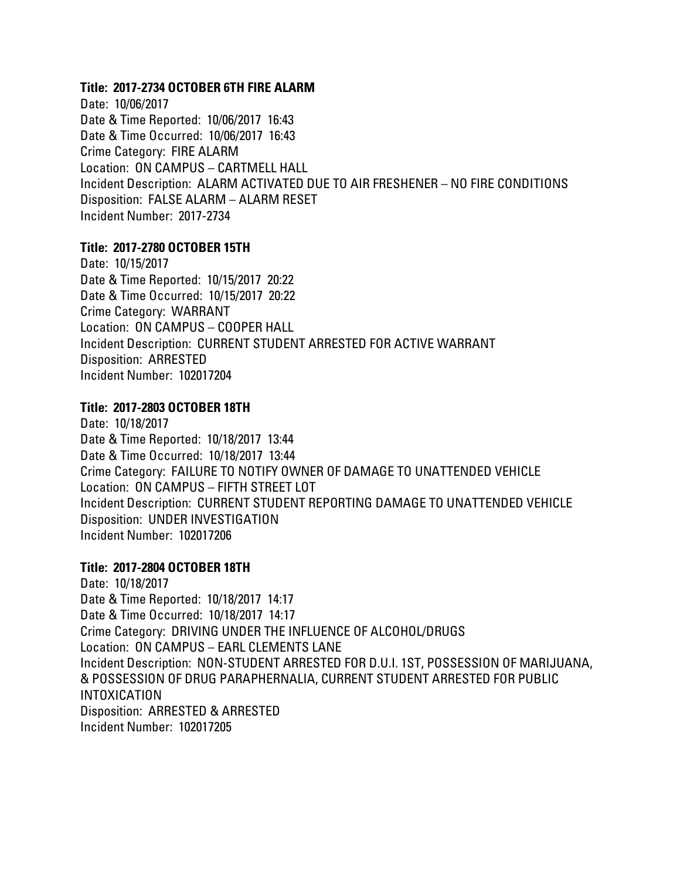### **Title: 2017-2734 OCTOBER 6TH FIRE ALARM**

Date: 10/06/2017 Date & Time Reported: 10/06/2017 16:43 Date & Time Occurred: 10/06/2017 16:43 Crime Category: FIRE ALARM Location: ON CAMPUS – CARTMELL HALL Incident Description: ALARM ACTIVATED DUE TO AIR FRESHENER – NO FIRE CONDITIONS Disposition: FALSE ALARM – ALARM RESET Incident Number: 2017-2734

#### **Title: 2017-2780 OCTOBER 15TH**

Date: 10/15/2017 Date & Time Reported: 10/15/2017 20:22 Date & Time Occurred: 10/15/2017 20:22 Crime Category: WARRANT Location: ON CAMPUS – COOPER HALL Incident Description: CURRENT STUDENT ARRESTED FOR ACTIVE WARRANT Disposition: ARRESTED Incident Number: 102017204

# **Title: 2017-2803 OCTOBER 18TH**

Date: 10/18/2017 Date & Time Reported: 10/18/2017 13:44 Date & Time Occurred: 10/18/2017 13:44 Crime Category: FAILURE TO NOTIFY OWNER OF DAMAGE TO UNATTENDED VEHICLE Location: ON CAMPUS – FIFTH STREET LOT Incident Description: CURRENT STUDENT REPORTING DAMAGE TO UNATTENDED VEHICLE Disposition: UNDER INVESTIGATION Incident Number: 102017206

#### **Title: 2017-2804 OCTOBER 18TH**

Date: 10/18/2017 Date & Time Reported: 10/18/2017 14:17 Date & Time Occurred: 10/18/2017 14:17 Crime Category: DRIVING UNDER THE INFLUENCE OF ALCOHOL/DRUGS Location: ON CAMPUS – EARL CLEMENTS LANE Incident Description: NON-STUDENT ARRESTED FOR D.U.I. 1ST, POSSESSION OF MARIJUANA, & POSSESSION OF DRUG PARAPHERNALIA, CURRENT STUDENT ARRESTED FOR PUBLIC INTOXICATION Disposition: ARRESTED & ARRESTED Incident Number: 102017205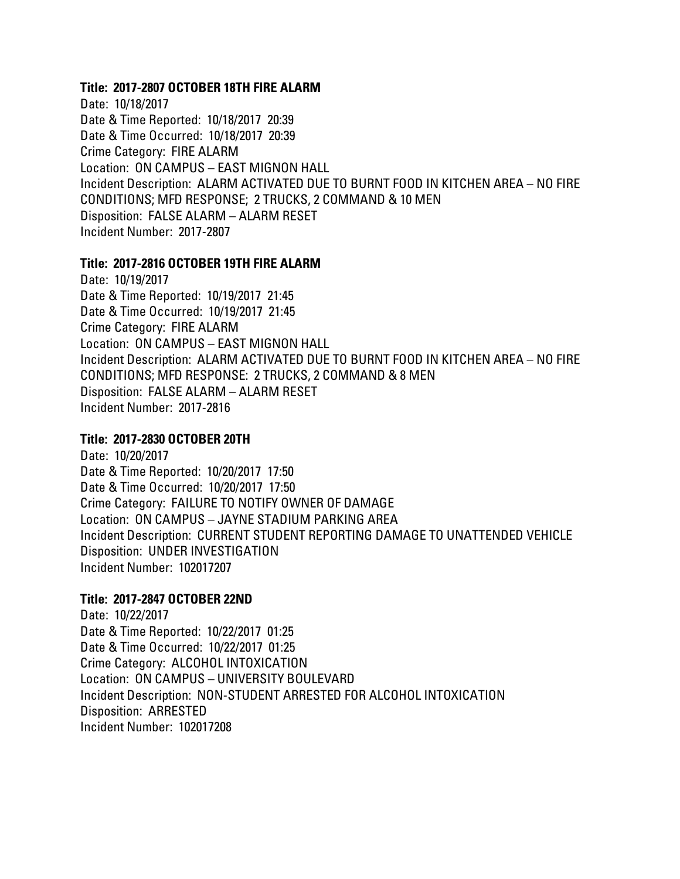#### **Title: 2017-2807 OCTOBER 18TH FIRE ALARM**

Date: 10/18/2017 Date & Time Reported: 10/18/2017 20:39 Date & Time Occurred: 10/18/2017 20:39 Crime Category: FIRE ALARM Location: ON CAMPUS – EAST MIGNON HALL Incident Description: ALARM ACTIVATED DUE TO BURNT FOOD IN KITCHEN AREA – NO FIRE CONDITIONS; MFD RESPONSE; 2 TRUCKS, 2 COMMAND & 10 MEN Disposition: FALSE ALARM – ALARM RESET Incident Number: 2017-2807

#### **Title: 2017-2816 OCTOBER 19TH FIRE ALARM**

Date: 10/19/2017 Date & Time Reported: 10/19/2017 21:45 Date & Time Occurred: 10/19/2017 21:45 Crime Category: FIRE ALARM Location: ON CAMPUS – EAST MIGNON HALL Incident Description: ALARM ACTIVATED DUE TO BURNT FOOD IN KITCHEN AREA – NO FIRE CONDITIONS; MFD RESPONSE: 2 TRUCKS, 2 COMMAND & 8 MEN Disposition: FALSE ALARM – ALARM RESET Incident Number: 2017-2816

### **Title: 2017-2830 OCTOBER 20TH**

Date: 10/20/2017 Date & Time Reported: 10/20/2017 17:50 Date & Time Occurred: 10/20/2017 17:50 Crime Category: FAILURE TO NOTIFY OWNER OF DAMAGE Location: ON CAMPUS – JAYNE STADIUM PARKING AREA Incident Description: CURRENT STUDENT REPORTING DAMAGE TO UNATTENDED VEHICLE Disposition: UNDER INVESTIGATION Incident Number: 102017207

# **Title: 2017-2847 OCTOBER 22ND**

Date: 10/22/2017 Date & Time Reported: 10/22/2017 01:25 Date & Time Occurred: 10/22/2017 01:25 Crime Category: ALCOHOL INTOXICATION Location: ON CAMPUS – UNIVERSITY BOULEVARD Incident Description: NON-STUDENT ARRESTED FOR ALCOHOL INTOXICATION Disposition: ARRESTED Incident Number: 102017208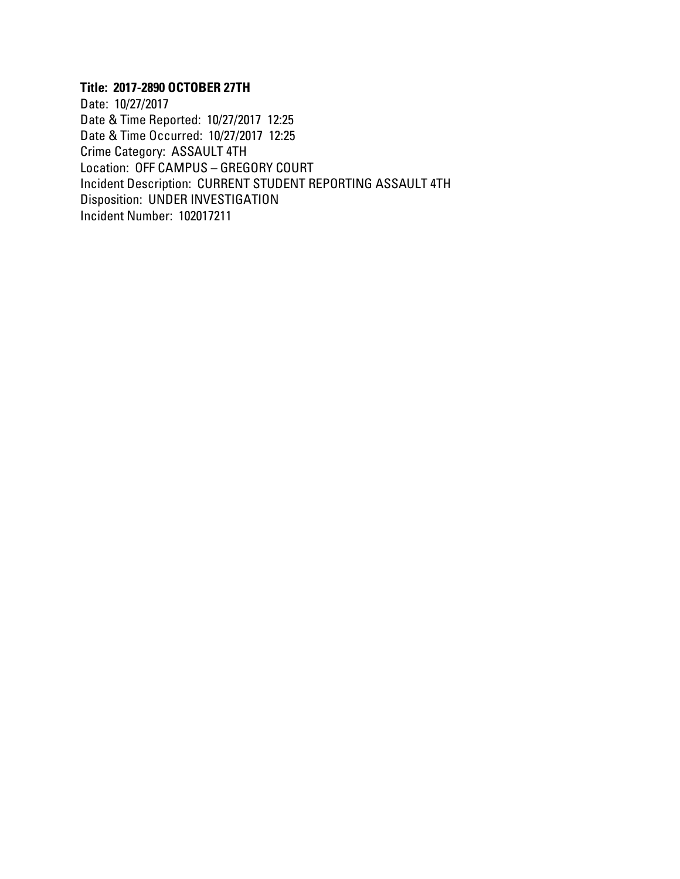# **Title: 2017-2890 OCTOBER 27TH**

Date: 10/27/2017 Date & Time Reported: 10/27/2017 12:25 Date & Time Occurred: 10/27/2017 12:25 Crime Category: ASSAULT 4TH Location: OFF CAMPUS – GREGORY COURT Incident Description: CURRENT STUDENT REPORTING ASSAULT 4TH Disposition: UNDER INVESTIGATION Incident Number: 102017211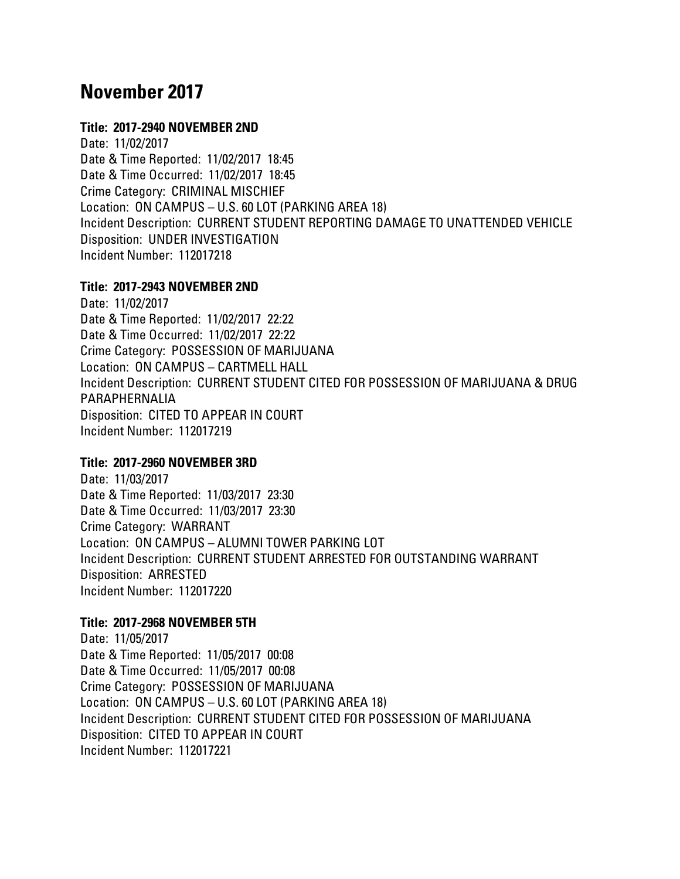# **November 2017**

# **Title: 2017-2940 NOVEMBER 2ND**

Date: 11/02/2017 Date & Time Reported: 11/02/2017 18:45 Date & Time Occurred: 11/02/2017 18:45 Crime Category: CRIMINAL MISCHIEF Location: ON CAMPUS – U.S. 60 LOT (PARKING AREA 18) Incident Description: CURRENT STUDENT REPORTING DAMAGE TO UNATTENDED VEHICLE Disposition: UNDER INVESTIGATION Incident Number: 112017218

#### **Title: 2017-2943 NOVEMBER 2ND**

Date: 11/02/2017 Date & Time Reported: 11/02/2017 22:22 Date & Time Occurred: 11/02/2017 22:22 Crime Category: POSSESSION OF MARIJUANA Location: ON CAMPUS – CARTMELL HALL Incident Description: CURRENT STUDENT CITED FOR POSSESSION OF MARIJUANA & DRUG PARAPHERNALIA Disposition: CITED TO APPEAR IN COURT Incident Number: 112017219

# **Title: 2017-2960 NOVEMBER 3RD**

Date: 11/03/2017 Date & Time Reported: 11/03/2017 23:30 Date & Time Occurred: 11/03/2017 23:30 Crime Category: WARRANT Location: ON CAMPUS – ALUMNI TOWER PARKING LOT Incident Description: CURRENT STUDENT ARRESTED FOR OUTSTANDING WARRANT Disposition: ARRESTED Incident Number: 112017220

# **Title: 2017-2968 NOVEMBER 5TH**

Date: 11/05/2017 Date & Time Reported: 11/05/2017 00:08 Date & Time Occurred: 11/05/2017 00:08 Crime Category: POSSESSION OF MARIJUANA Location: ON CAMPUS – U.S. 60 LOT (PARKING AREA 18) Incident Description: CURRENT STUDENT CITED FOR POSSESSION OF MARIJUANA Disposition: CITED TO APPEAR IN COURT Incident Number: 112017221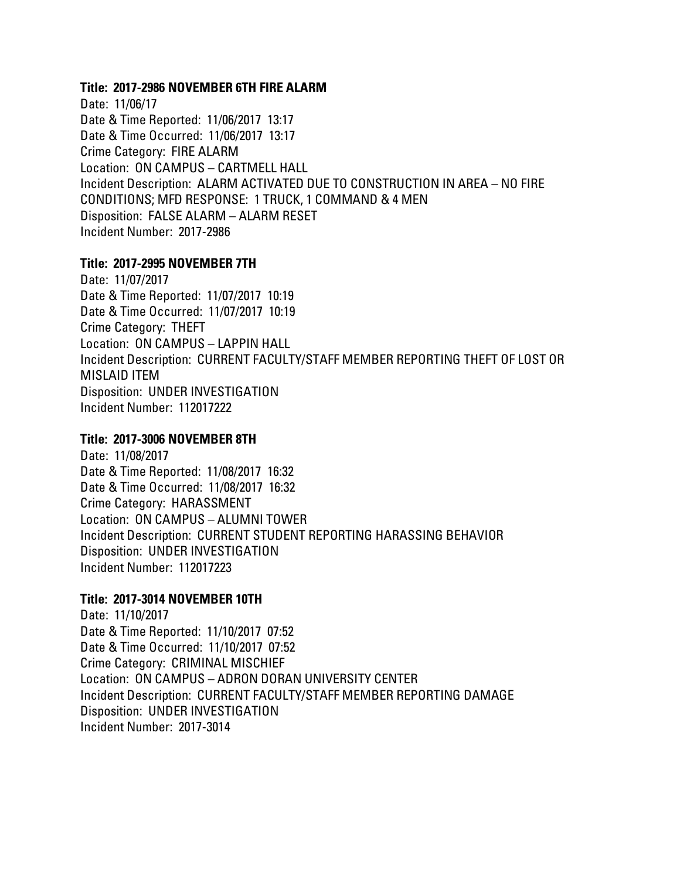#### **Title: 2017-2986 NOVEMBER 6TH FIRE ALARM**

Date: 11/06/17 Date & Time Reported: 11/06/2017 13:17 Date & Time Occurred: 11/06/2017 13:17 Crime Category: FIRE ALARM Location: ON CAMPUS – CARTMELL HALL Incident Description: ALARM ACTIVATED DUE TO CONSTRUCTION IN AREA – NO FIRE CONDITIONS; MFD RESPONSE: 1 TRUCK, 1 COMMAND & 4 MEN Disposition: FALSE ALARM – ALARM RESET Incident Number: 2017-2986

#### **Title: 2017-2995 NOVEMBER 7TH**

Date: 11/07/2017 Date & Time Reported: 11/07/2017 10:19 Date & Time Occurred: 11/07/2017 10:19 Crime Category: THEFT Location: ON CAMPUS – LAPPIN HALL Incident Description: CURRENT FACULTY/STAFF MEMBER REPORTING THEFT OF LOST OR MISLAID ITEM Disposition: UNDER INVESTIGATION Incident Number: 112017222

# **Title: 2017-3006 NOVEMBER 8TH**

Date: 11/08/2017 Date & Time Reported: 11/08/2017 16:32 Date & Time Occurred: 11/08/2017 16:32 Crime Category: HARASSMENT Location: ON CAMPUS – ALUMNI TOWER Incident Description: CURRENT STUDENT REPORTING HARASSING BEHAVIOR Disposition: UNDER INVESTIGATION Incident Number: 112017223

# **Title: 2017-3014 NOVEMBER 10TH**

Date: 11/10/2017 Date & Time Reported: 11/10/2017 07:52 Date & Time Occurred: 11/10/2017 07:52 Crime Category: CRIMINAL MISCHIEF Location: ON CAMPUS – ADRON DORAN UNIVERSITY CENTER Incident Description: CURRENT FACULTY/STAFF MEMBER REPORTING DAMAGE Disposition: UNDER INVESTIGATION Incident Number: 2017-3014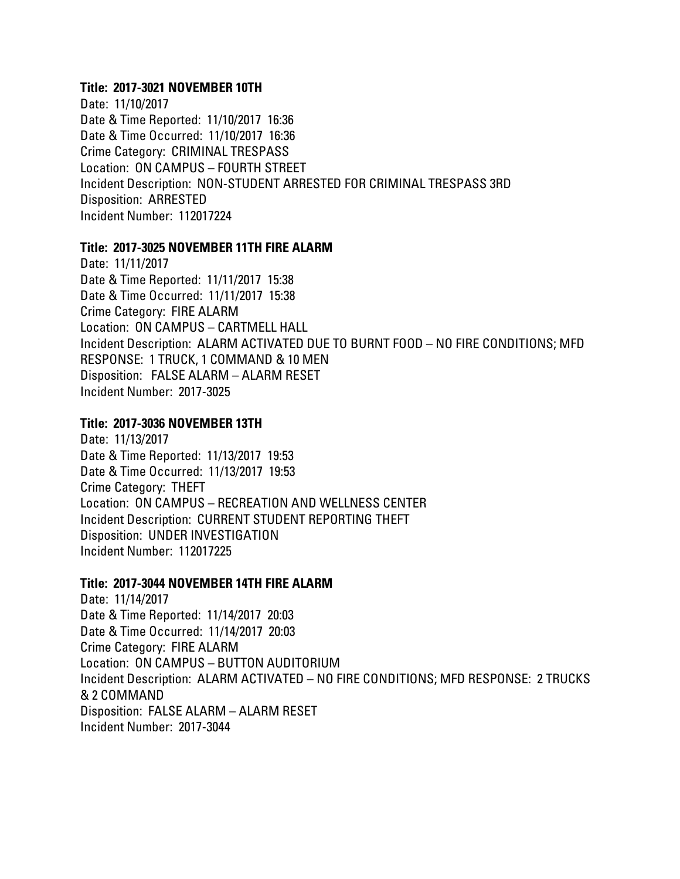#### **Title: 2017-3021 NOVEMBER 10TH**

Date: 11/10/2017 Date & Time Reported: 11/10/2017 16:36 Date & Time Occurred: 11/10/2017 16:36 Crime Category: CRIMINAL TRESPASS Location: ON CAMPUS – FOURTH STREET Incident Description: NON-STUDENT ARRESTED FOR CRIMINAL TRESPASS 3RD Disposition: ARRESTED Incident Number: 112017224

#### **Title: 2017-3025 NOVEMBER 11TH FIRE ALARM**

Date: 11/11/2017 Date & Time Reported: 11/11/2017 15:38 Date & Time Occurred: 11/11/2017 15:38 Crime Category: FIRE ALARM Location: ON CAMPUS – CARTMELL HALL Incident Description: ALARM ACTIVATED DUE TO BURNT FOOD – NO FIRE CONDITIONS; MFD RESPONSE: 1 TRUCK, 1 COMMAND & 10 MEN Disposition: FALSE ALARM – ALARM RESET Incident Number: 2017-3025

# **Title: 2017-3036 NOVEMBER 13TH**

Date: 11/13/2017 Date & Time Reported: 11/13/2017 19:53 Date & Time Occurred: 11/13/2017 19:53 Crime Category: THEFT Location: ON CAMPUS – RECREATION AND WELLNESS CENTER Incident Description: CURRENT STUDENT REPORTING THEFT Disposition: UNDER INVESTIGATION Incident Number: 112017225

#### **Title: 2017-3044 NOVEMBER 14TH FIRE ALARM**

Date: 11/14/2017 Date & Time Reported: 11/14/2017 20:03 Date & Time Occurred: 11/14/2017 20:03 Crime Category: FIRE ALARM Location: ON CAMPUS – BUTTON AUDITORIUM Incident Description: ALARM ACTIVATED – NO FIRE CONDITIONS; MFD RESPONSE: 2 TRUCKS & 2 COMMAND Disposition: FALSE ALARM – ALARM RESET Incident Number: 2017-3044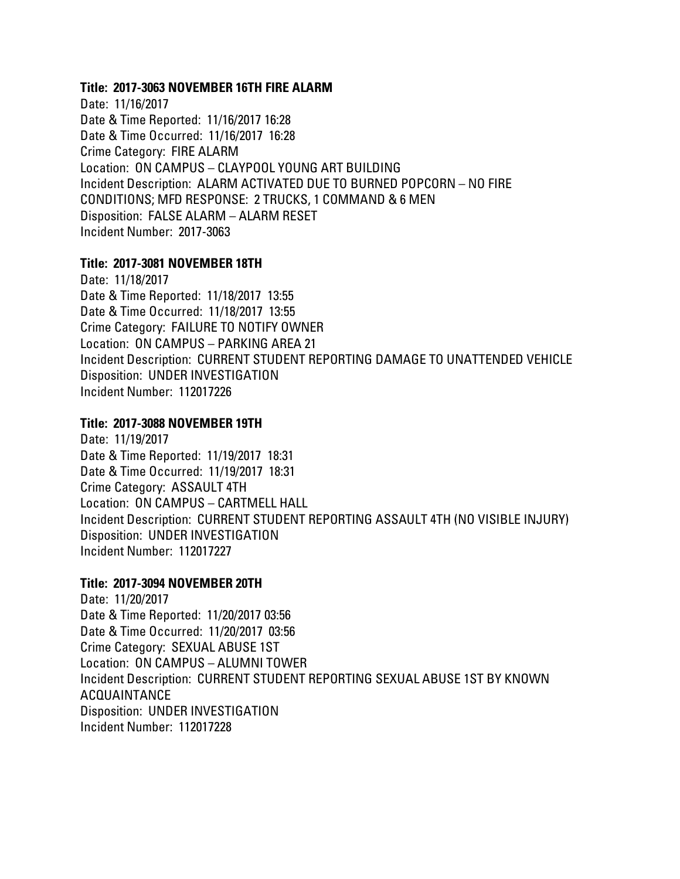#### **Title: 2017-3063 NOVEMBER 16TH FIRE ALARM**

Date: 11/16/2017 Date & Time Reported: 11/16/2017 16:28 Date & Time Occurred: 11/16/2017 16:28 Crime Category: FIRE ALARM Location: ON CAMPUS – CLAYPOOL YOUNG ART BUILDING Incident Description: ALARM ACTIVATED DUE TO BURNED POPCORN – NO FIRE CONDITIONS; MFD RESPONSE: 2 TRUCKS, 1 COMMAND & 6 MEN Disposition: FALSE ALARM – ALARM RESET Incident Number: 2017-3063

# **Title: 2017-3081 NOVEMBER 18TH**

Date: 11/18/2017 Date & Time Reported: 11/18/2017 13:55 Date & Time Occurred: 11/18/2017 13:55 Crime Category: FAILURE TO NOTIFY OWNER Location: ON CAMPUS – PARKING AREA 21 Incident Description: CURRENT STUDENT REPORTING DAMAGE TO UNATTENDED VEHICLE Disposition: UNDER INVESTIGATION Incident Number: 112017226

# **Title: 2017-3088 NOVEMBER 19TH**

Date: 11/19/2017 Date & Time Reported: 11/19/2017 18:31 Date & Time Occurred: 11/19/2017 18:31 Crime Category: ASSAULT 4TH Location: ON CAMPUS – CARTMELL HALL Incident Description: CURRENT STUDENT REPORTING ASSAULT 4TH (NO VISIBLE INJURY) Disposition: UNDER INVESTIGATION Incident Number: 112017227

# **Title: 2017-3094 NOVEMBER 20TH**

Date: 11/20/2017 Date & Time Reported: 11/20/2017 03:56 Date & Time Occurred: 11/20/2017 03:56 Crime Category: SEXUAL ABUSE 1ST Location: ON CAMPUS – ALUMNI TOWER Incident Description: CURRENT STUDENT REPORTING SEXUAL ABUSE 1ST BY KNOWN ACQUAINTANCE Disposition: UNDER INVESTIGATION Incident Number: 112017228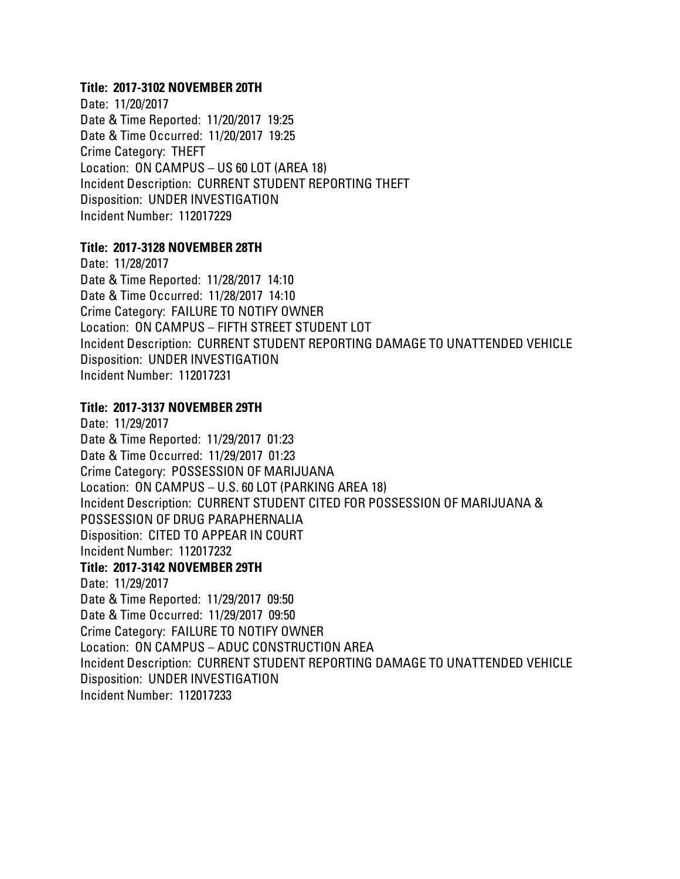#### **Title: 2017-3102 NOVEMBER 20TH**

Date: 11/20/2017 Date & Time Reported: 11/20/2017 19:25 Date & Time Occurred: 11/20/2017 19:25 Crime Category: THEFT Location: ON CAMPUS – US 60 LOT (AREA 18) Incident Description: CURRENT STUDENT REPORTING THEFT Disposition: UNDER INVESTIGATION Incident Number: 112017229

#### **Title: 2017-3128 NOVEMBER 28TH**

Date: 11/28/2017 Date & Time Reported: 11/28/2017 14:10 Date & Time Occurred: 11/28/2017 14:10 Crime Category: FAILURE TO NOTIFY OWNER Location: ON CAMPUS – FIFTH STREET STUDENT LOT Incident Description: CURRENT STUDENT REPORTING DAMAGE TO UNATTENDED VEHICLE Disposition: UNDER INVESTIGATION Incident Number: 112017231

# **Title: 2017-3137 NOVEMBER 29TH**

Date: 11/29/2017 Date & Time Reported: 11/29/2017 01:23 Date & Time Occurred: 11/29/2017 01:23 Crime Category: POSSESSION OF MARIJUANA Location: ON CAMPUS – U.S. 60 LOT (PARKING AREA 18) Incident Description: CURRENT STUDENT CITED FOR POSSESSION OF MARIJUANA & POSSESSION OF DRUG PARAPHERNALIA Disposition: CITED TO APPEAR IN COURT Incident Number: 112017232 **Title: 2017-3142 NOVEMBER 29TH** Date: 11/29/2017 Date & Time Reported: 11/29/2017 09:50 Date & Time Occurred: 11/29/2017 09:50 Crime Category: FAILURE TO NOTIFY OWNER Location: ON CAMPUS – ADUC CONSTRUCTION AREA Incident Description: CURRENT STUDENT REPORTING DAMAGE TO UNATTENDED VEHICLE Disposition: UNDER INVESTIGATION Incident Number: 112017233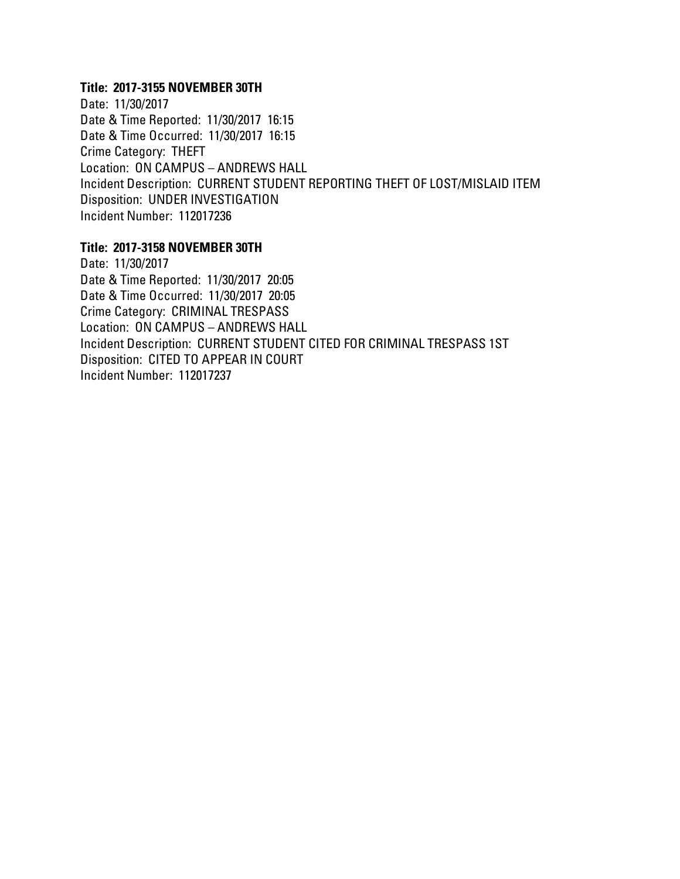### **Title: 2017-3155 NOVEMBER 30TH**

Date: 11/30/2017 Date & Time Reported: 11/30/2017 16:15 Date & Time Occurred: 11/30/2017 16:15 Crime Category: THEFT Location: ON CAMPUS – ANDREWS HALL Incident Description: CURRENT STUDENT REPORTING THEFT OF LOST/MISLAID ITEM Disposition: UNDER INVESTIGATION Incident Number: 112017236

#### **Title: 2017-3158 NOVEMBER 30TH**

Date: 11/30/2017 Date & Time Reported: 11/30/2017 20:05 Date & Time Occurred: 11/30/2017 20:05 Crime Category: CRIMINAL TRESPASS Location: ON CAMPUS – ANDREWS HALL Incident Description: CURRENT STUDENT CITED FOR CRIMINAL TRESPASS 1ST Disposition: CITED TO APPEAR IN COURT Incident Number: 112017237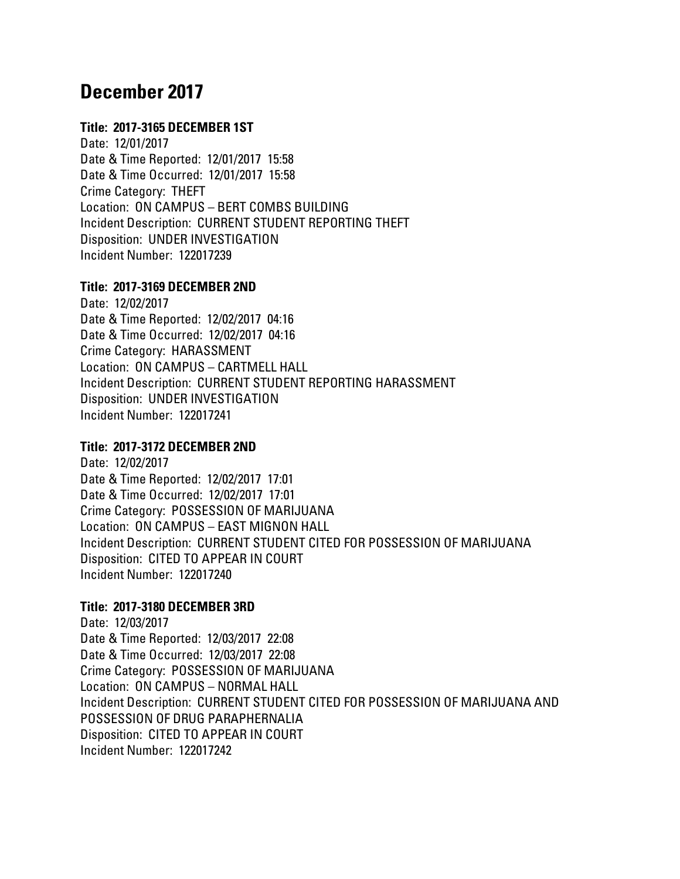# **December 2017**

# **Title: 2017-3165 DECEMBER 1ST**

Date: 12/01/2017 Date & Time Reported: 12/01/2017 15:58 Date & Time Occurred: 12/01/2017 15:58 Crime Category: THEFT Location: ON CAMPUS – BERT COMBS BUILDING Incident Description: CURRENT STUDENT REPORTING THEFT Disposition: UNDER INVESTIGATION Incident Number: 122017239

#### **Title: 2017-3169 DECEMBER 2ND**

Date: 12/02/2017 Date & Time Reported: 12/02/2017 04:16 Date & Time Occurred: 12/02/2017 04:16 Crime Category: HARASSMENT Location: ON CAMPUS – CARTMELL HALL Incident Description: CURRENT STUDENT REPORTING HARASSMENT Disposition: UNDER INVESTIGATION Incident Number: 122017241

# **Title: 2017-3172 DECEMBER 2ND**

Date: 12/02/2017 Date & Time Reported: 12/02/2017 17:01 Date & Time Occurred: 12/02/2017 17:01 Crime Category: POSSESSION OF MARIJUANA Location: ON CAMPUS – EAST MIGNON HALL Incident Description: CURRENT STUDENT CITED FOR POSSESSION OF MARIJUANA Disposition: CITED TO APPEAR IN COURT Incident Number: 122017240

# **Title: 2017-3180 DECEMBER 3RD**

Date: 12/03/2017 Date & Time Reported: 12/03/2017 22:08 Date & Time Occurred: 12/03/2017 22:08 Crime Category: POSSESSION OF MARIJUANA Location: ON CAMPUS – NORMAL HALL Incident Description: CURRENT STUDENT CITED FOR POSSESSION OF MARIJUANA AND POSSESSION OF DRUG PARAPHERNALIA Disposition: CITED TO APPEAR IN COURT Incident Number: 122017242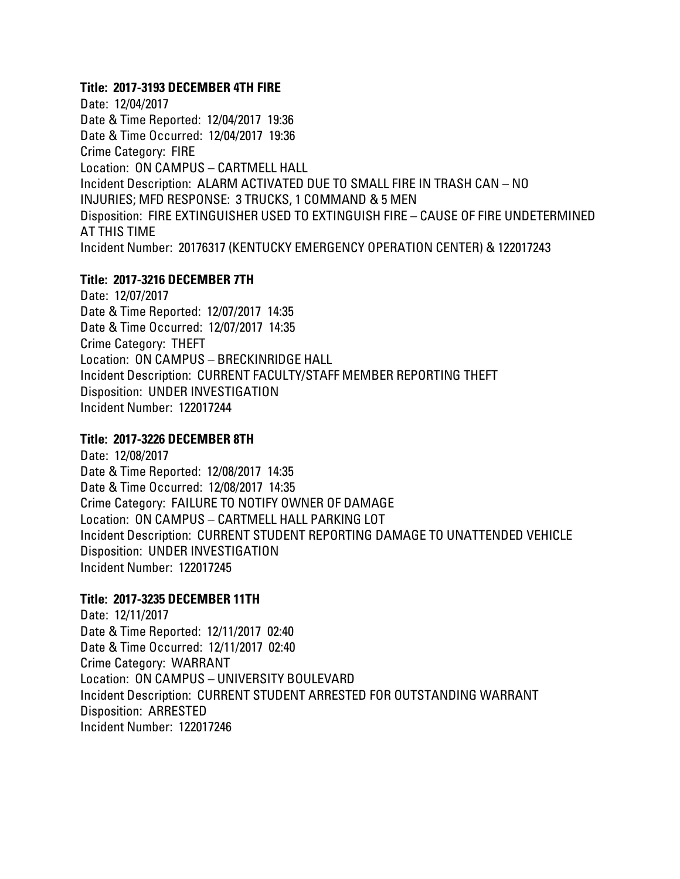### **Title: 2017-3193 DECEMBER 4TH FIRE**

Date: 12/04/2017 Date & Time Reported: 12/04/2017 19:36 Date & Time Occurred: 12/04/2017 19:36 Crime Category: FIRE Location: ON CAMPUS – CARTMELL HALL Incident Description: ALARM ACTIVATED DUE TO SMALL FIRE IN TRASH CAN – NO INJURIES; MFD RESPONSE: 3 TRUCKS, 1 COMMAND & 5 MEN Disposition: FIRE EXTINGUISHER USED TO EXTINGUISH FIRE – CAUSE OF FIRE UNDETERMINED AT THIS TIME Incident Number: 20176317 (KENTUCKY EMERGENCY OPERATION CENTER) & 122017243

#### **Title: 2017-3216 DECEMBER 7TH**

Date: 12/07/2017 Date & Time Reported: 12/07/2017 14:35 Date & Time Occurred: 12/07/2017 14:35 Crime Category: THEFT Location: ON CAMPUS – BRECKINRIDGE HALL Incident Description: CURRENT FACULTY/STAFF MEMBER REPORTING THEFT Disposition: UNDER INVESTIGATION Incident Number: 122017244

#### **Title: 2017-3226 DECEMBER 8TH**

Date: 12/08/2017 Date & Time Reported: 12/08/2017 14:35 Date & Time Occurred: 12/08/2017 14:35 Crime Category: FAILURE TO NOTIFY OWNER OF DAMAGE Location: ON CAMPUS – CARTMELL HALL PARKING LOT Incident Description: CURRENT STUDENT REPORTING DAMAGE TO UNATTENDED VEHICLE Disposition: UNDER INVESTIGATION Incident Number: 122017245

# **Title: 2017-3235 DECEMBER 11TH**

Date: 12/11/2017 Date & Time Reported: 12/11/2017 02:40 Date & Time Occurred: 12/11/2017 02:40 Crime Category: WARRANT Location: ON CAMPUS – UNIVERSITY BOULEVARD Incident Description: CURRENT STUDENT ARRESTED FOR OUTSTANDING WARRANT Disposition: ARRESTED Incident Number: 122017246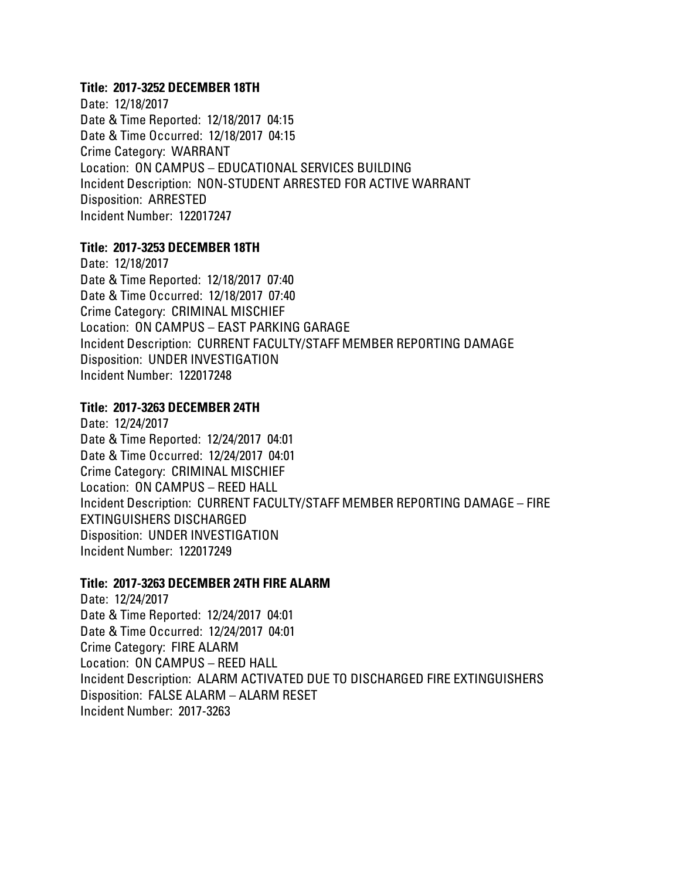# **Title: 2017-3252 DECEMBER 18TH**

Date: 12/18/2017 Date & Time Reported: 12/18/2017 04:15 Date & Time Occurred: 12/18/2017 04:15 Crime Category: WARRANT Location: ON CAMPUS – EDUCATIONAL SERVICES BUILDING Incident Description: NON-STUDENT ARRESTED FOR ACTIVE WARRANT Disposition: ARRESTED Incident Number: 122017247

# **Title: 2017-3253 DECEMBER 18TH**

Date: 12/18/2017 Date & Time Reported: 12/18/2017 07:40 Date & Time Occurred: 12/18/2017 07:40 Crime Category: CRIMINAL MISCHIEF Location: ON CAMPUS – EAST PARKING GARAGE Incident Description: CURRENT FACULTY/STAFF MEMBER REPORTING DAMAGE Disposition: UNDER INVESTIGATION Incident Number: 122017248

# **Title: 2017-3263 DECEMBER 24TH**

Date: 12/24/2017 Date & Time Reported: 12/24/2017 04:01 Date & Time Occurred: 12/24/2017 04:01 Crime Category: CRIMINAL MISCHIEF Location: ON CAMPUS – REED HALL Incident Description: CURRENT FACULTY/STAFF MEMBER REPORTING DAMAGE – FIRE EXTINGUISHERS DISCHARGED Disposition: UNDER INVESTIGATION Incident Number: 122017249

#### **Title: 2017-3263 DECEMBER 24TH FIRE ALARM**

Date: 12/24/2017 Date & Time Reported: 12/24/2017 04:01 Date & Time Occurred: 12/24/2017 04:01 Crime Category: FIRE ALARM Location: ON CAMPUS – REED HALL Incident Description: ALARM ACTIVATED DUE TO DISCHARGED FIRE EXTINGUISHERS Disposition: FALSE ALARM – ALARM RESET Incident Number: 2017-3263